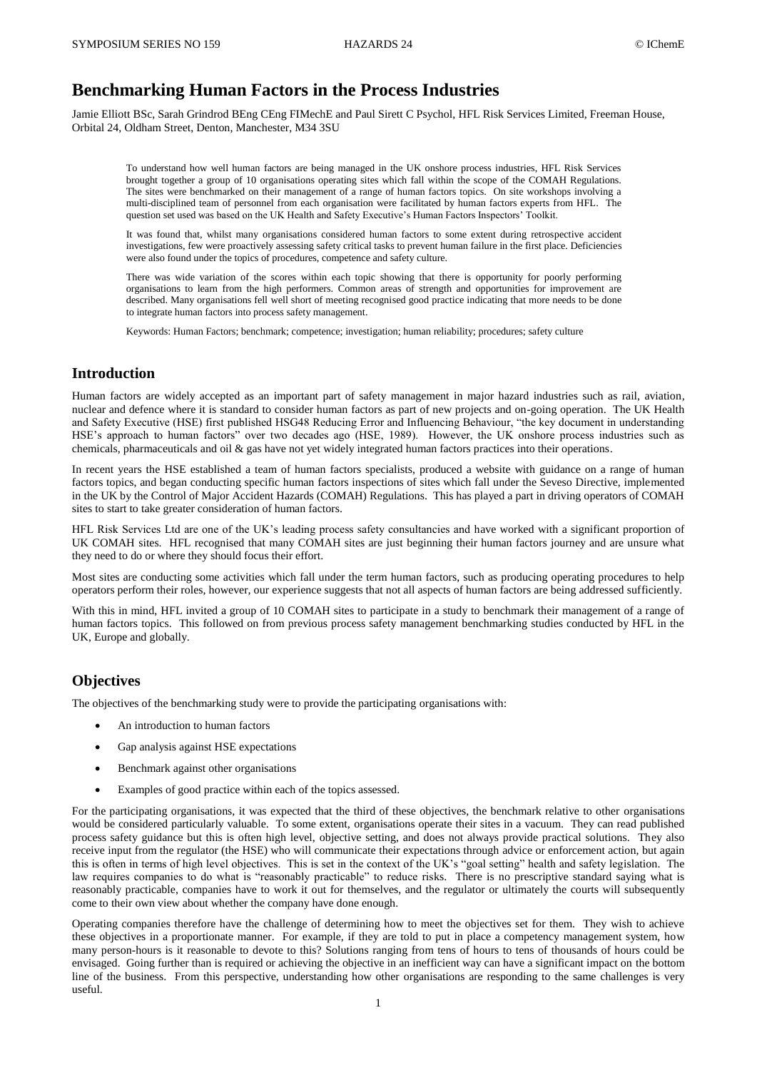# **Benchmarking Human Factors in the Process Industries**

Jamie Elliott BSc, Sarah Grindrod BEng CEng FIMechE and Paul Sirett C Psychol, HFL Risk Services Limited, Freeman House, Orbital 24, Oldham Street, Denton, Manchester, M34 3SU

To understand how well human factors are being managed in the UK onshore process industries, HFL Risk Services brought together a group of 10 organisations operating sites which fall within the scope of the COMAH Regulations. The sites were benchmarked on their management of a range of human factors topics. On site workshops involving a multi-disciplined team of personnel from each organisation were facilitated by human factors experts from HFL. The question set used was based on the UK Health and Safety Executive's Human Factors Inspectors' Toolkit.

It was found that, whilst many organisations considered human factors to some extent during retrospective accident investigations, few were proactively assessing safety critical tasks to prevent human failure in the first place. Deficiencies were also found under the topics of procedures, competence and safety culture.

There was wide variation of the scores within each topic showing that there is opportunity for poorly performing organisations to learn from the high performers. Common areas of strength and opportunities for improvement are described. Many organisations fell well short of meeting recognised good practice indicating that more needs to be done to integrate human factors into process safety management.

Keywords: Human Factors; benchmark; competence; investigation; human reliability; procedures; safety culture

#### **Introduction**

Human factors are widely accepted as an important part of safety management in major hazard industries such as rail, aviation, nuclear and defence where it is standard to consider human factors as part of new projects and on-going operation. The UK Health and Safety Executive (HSE) first published HSG48 Reducing Error and Influencing Behaviour, "the key document in understanding HSE's approach to human factors" over two decades ago (HSE, 1989). However, the UK onshore process industries such as chemicals, pharmaceuticals and oil & gas have not yet widely integrated human factors practices into their operations.

In recent years the HSE established a team of human factors specialists, produced a website with guidance on a range of human factors topics, and began conducting specific human factors inspections of sites which fall under the Seveso Directive, implemented in the UK by the Control of Major Accident Hazards (COMAH) Regulations. This has played a part in driving operators of COMAH sites to start to take greater consideration of human factors.

HFL Risk Services Ltd are one of the UK's leading process safety consultancies and have worked with a significant proportion of UK COMAH sites. HFL recognised that many COMAH sites are just beginning their human factors journey and are unsure what they need to do or where they should focus their effort.

Most sites are conducting some activities which fall under the term human factors, such as producing operating procedures to help operators perform their roles, however, our experience suggests that not all aspects of human factors are being addressed sufficiently.

With this in mind, HFL invited a group of 10 COMAH sites to participate in a study to benchmark their management of a range of human factors topics. This followed on from previous process safety management benchmarking studies conducted by HFL in the UK, Europe and globally.

#### **Objectives**

The objectives of the benchmarking study were to provide the participating organisations with:

- An introduction to human factors
- Gap analysis against HSE expectations
- Benchmark against other organisations
- Examples of good practice within each of the topics assessed.

For the participating organisations, it was expected that the third of these objectives, the benchmark relative to other organisations would be considered particularly valuable. To some extent, organisations operate their sites in a vacuum. They can read published process safety guidance but this is often high level, objective setting, and does not always provide practical solutions. They also receive input from the regulator (the HSE) who will communicate their expectations through advice or enforcement action, but again this is often in terms of high level objectives. This is set in the context of the UK's "goal setting" health and safety legislation. The law requires companies to do what is "reasonably practicable" to reduce risks. There is no prescriptive standard saying what is reasonably practicable, companies have to work it out for themselves, and the regulator or ultimately the courts will subsequently come to their own view about whether the company have done enough.

Operating companies therefore have the challenge of determining how to meet the objectives set for them. They wish to achieve these objectives in a proportionate manner. For example, if they are told to put in place a competency management system, how many person-hours is it reasonable to devote to this? Solutions ranging from tens of hours to tens of thousands of hours could be envisaged. Going further than is required or achieving the objective in an inefficient way can have a significant impact on the bottom line of the business. From this perspective, understanding how other organisations are responding to the same challenges is very useful.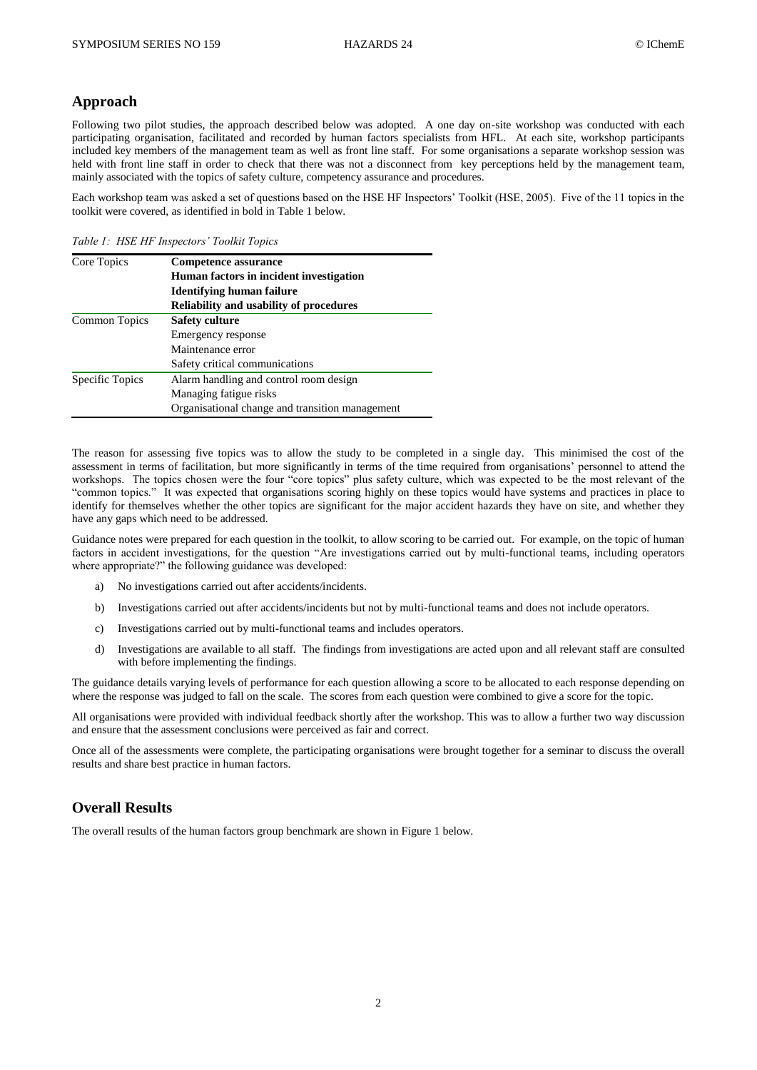#### **Approach**

Following two pilot studies, the approach described below was adopted. A one day on-site workshop was conducted with each participating organisation, facilitated and recorded by human factors specialists from HFL. At each site, workshop participants included key members of the management team as well as front line staff. For some organisations a separate workshop session was held with front line staff in order to check that there was not a disconnect from key perceptions held by the management team, mainly associated with the topics of safety culture, competency assurance and procedures.

Each workshop team was asked a set of questions based on the HSE HF Inspectors' Toolkit (HSE, 2005). Five of the 11 topics in the toolkit were covered, as identified in bold in Table 1 below.

*Table 1: HSE HF Inspectors' Toolkit Topics*

| Core Topics     | Competence assurance                            |
|-----------------|-------------------------------------------------|
|                 | Human factors in incident investigation         |
|                 | Identifying human failure                       |
|                 | <b>Reliability and usability of procedures</b>  |
| Common Topics   | <b>Safety culture</b>                           |
|                 | Emergency response                              |
|                 | Maintenance error                               |
|                 | Safety critical communications                  |
| Specific Topics | Alarm handling and control room design          |
|                 | Managing fatigue risks                          |
|                 | Organisational change and transition management |

The reason for assessing five topics was to allow the study to be completed in a single day. This minimised the cost of the assessment in terms of facilitation, but more significantly in terms of the time required from organisations' personnel to attend the workshops. The topics chosen were the four "core topics" plus safety culture, which was expected to be the most relevant of the "common topics." It was expected that organisations scoring highly on these topics would have systems and practices in place to identify for themselves whether the other topics are significant for the major accident hazards they have on site, and whether they have any gaps which need to be addressed.

Guidance notes were prepared for each question in the toolkit, to allow scoring to be carried out. For example, on the topic of human factors in accident investigations, for the question "Are investigations carried out by multi-functional teams, including operators where appropriate?" the following guidance was developed:

- a) No investigations carried out after accidents/incidents.
- b) Investigations carried out after accidents/incidents but not by multi-functional teams and does not include operators.
- c) Investigations carried out by multi-functional teams and includes operators.
- d) Investigations are available to all staff. The findings from investigations are acted upon and all relevant staff are consulted with before implementing the findings.

The guidance details varying levels of performance for each question allowing a score to be allocated to each response depending on where the response was judged to fall on the scale. The scores from each question were combined to give a score for the topic.

All organisations were provided with individual feedback shortly after the workshop. This was to allow a further two way discussion and ensure that the assessment conclusions were perceived as fair and correct.

Once all of the assessments were complete, the participating organisations were brought together for a seminar to discuss the overall results and share best practice in human factors.

### **Overall Results**

The overall results of the human factors group benchmark are shown in Figure 1 below.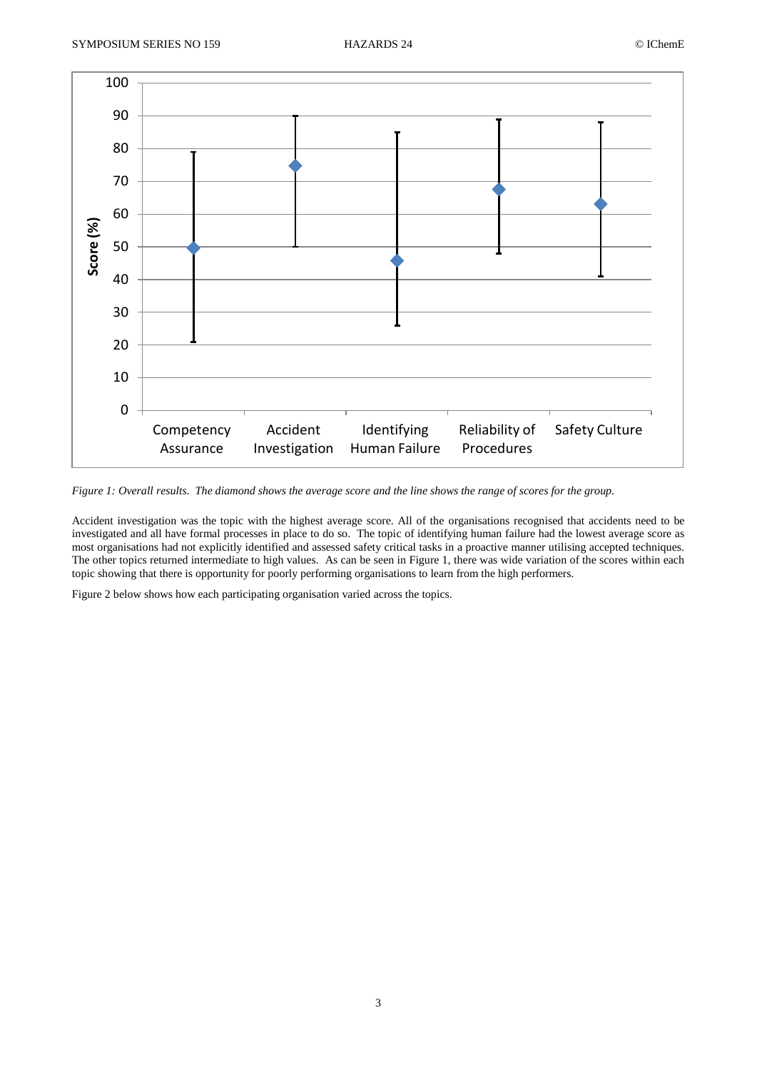

*Figure 1: Overall results. The diamond shows the average score and the line shows the range of scores for the group.*

Accident investigation was the topic with the highest average score. All of the organisations recognised that accidents need to be investigated and all have formal processes in place to do so. The topic of identifying human failure had the lowest average score as most organisations had not explicitly identified and assessed safety critical tasks in a proactive manner utilising accepted techniques. The other topics returned intermediate to high values. As can be seen in Figure 1, there was wide variation of the scores within each topic showing that there is opportunity for poorly performing organisations to learn from the high performers.

Figure 2 below shows how each participating organisation varied across the topics.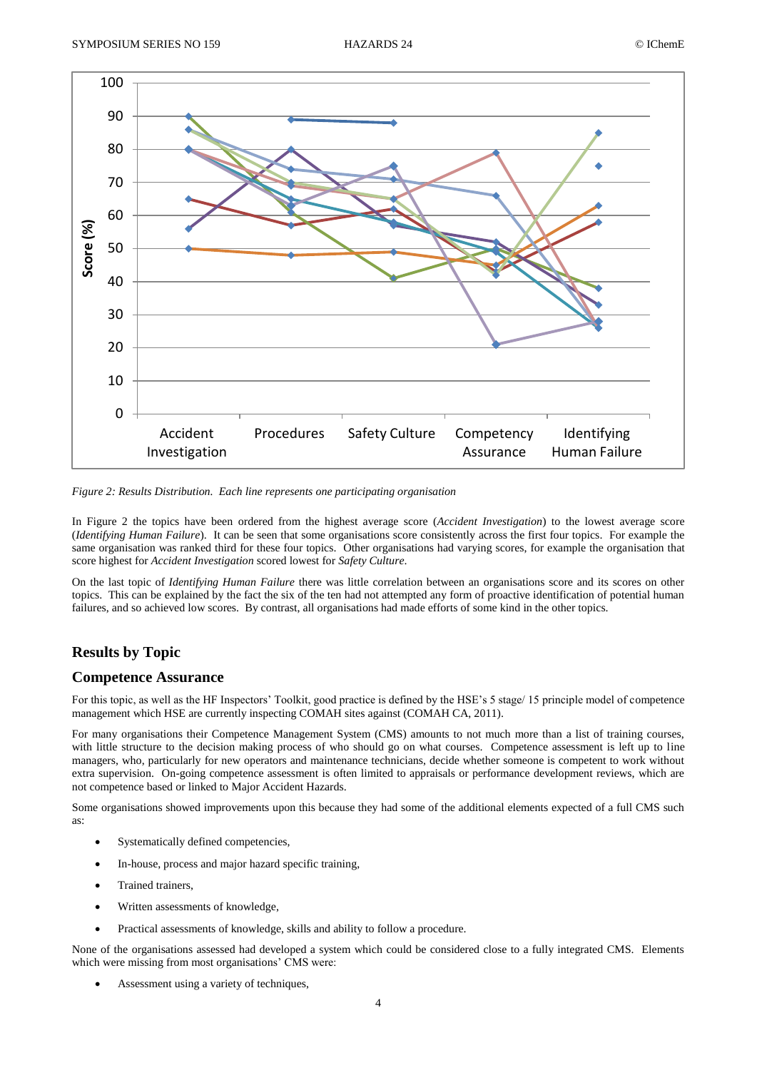

*Figure 2: Results Distribution. Each line represents one participating organisation*

In Figure 2 the topics have been ordered from the highest average score (*Accident Investigation*) to the lowest average score (*Identifying Human Failure*). It can be seen that some organisations score consistently across the first four topics. For example the same organisation was ranked third for these four topics. Other organisations had varying scores, for example the organisation that score highest for *Accident Investigation* scored lowest for *Safety Culture*.

On the last topic of *Identifying Human Failure* there was little correlation between an organisations score and its scores on other topics. This can be explained by the fact the six of the ten had not attempted any form of proactive identification of potential human failures, and so achieved low scores. By contrast, all organisations had made efforts of some kind in the other topics.

# **Results by Topic**

### **Competence Assurance**

For this topic, as well as the HF Inspectors' Toolkit, good practice is defined by the HSE's 5 stage/ 15 principle model of competence management which HSE are currently inspecting COMAH sites against (COMAH CA, 2011).

For many organisations their Competence Management System (CMS) amounts to not much more than a list of training courses, with little structure to the decision making process of who should go on what courses. Competence assessment is left up to line managers, who, particularly for new operators and maintenance technicians, decide whether someone is competent to work without extra supervision. On-going competence assessment is often limited to appraisals or performance development reviews, which are not competence based or linked to Major Accident Hazards.

Some organisations showed improvements upon this because they had some of the additional elements expected of a full CMS such as:

- Systematically defined competencies,
- In-house, process and major hazard specific training,
- Trained trainers,
- Written assessments of knowledge,
- Practical assessments of knowledge, skills and ability to follow a procedure.

None of the organisations assessed had developed a system which could be considered close to a fully integrated CMS. Elements which were missing from most organisations' CMS were:

Assessment using a variety of techniques,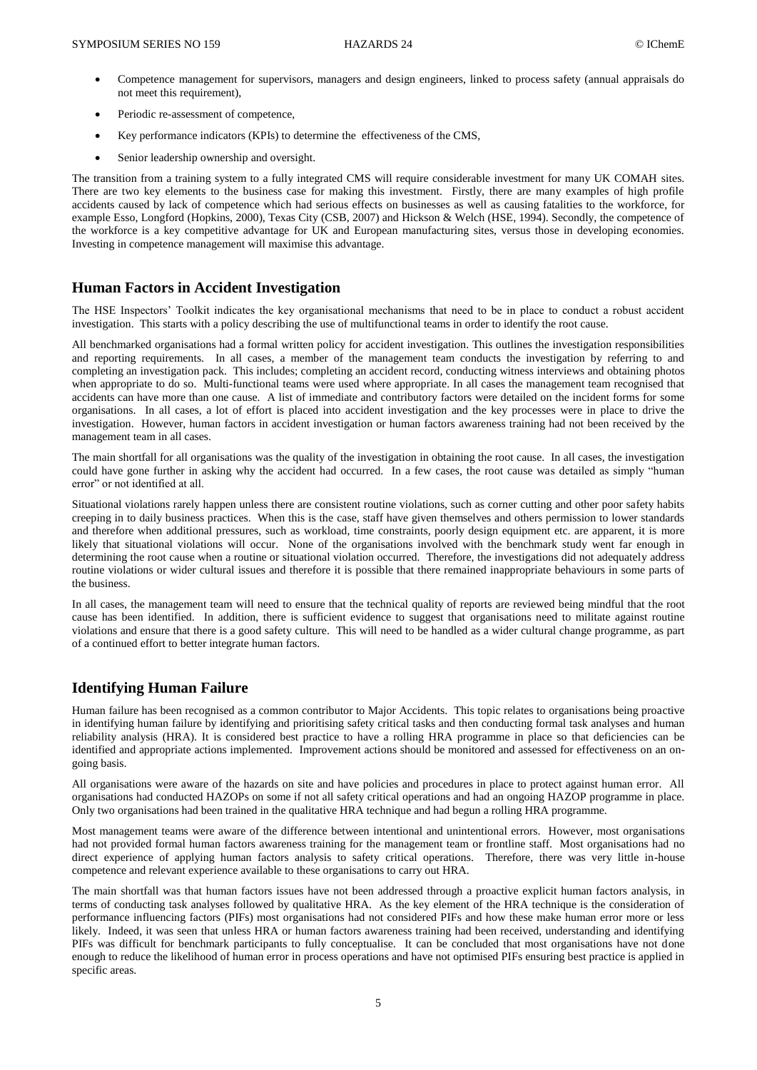- Competence management for supervisors, managers and design engineers, linked to process safety (annual appraisals do not meet this requirement),
- Periodic re-assessment of competence,
- Key performance indicators (KPIs) to determine the effectiveness of the CMS,
- Senior leadership ownership and oversight.

The transition from a training system to a fully integrated CMS will require considerable investment for many UK COMAH sites. There are two key elements to the business case for making this investment. Firstly, there are many examples of high profile accidents caused by lack of competence which had serious effects on businesses as well as causing fatalities to the workforce, for example Esso, Longford (Hopkins, 2000), Texas City (CSB, 2007) and Hickson & Welch (HSE, 1994). Secondly, the competence of the workforce is a key competitive advantage for UK and European manufacturing sites, versus those in developing economies. Investing in competence management will maximise this advantage.

### **Human Factors in Accident Investigation**

The HSE Inspectors' Toolkit indicates the key organisational mechanisms that need to be in place to conduct a robust accident investigation. This starts with a policy describing the use of multifunctional teams in order to identify the root cause.

All benchmarked organisations had a formal written policy for accident investigation. This outlines the investigation responsibilities and reporting requirements. In all cases, a member of the management team conducts the investigation by referring to and completing an investigation pack. This includes; completing an accident record, conducting witness interviews and obtaining photos when appropriate to do so. Multi-functional teams were used where appropriate. In all cases the management team recognised that accidents can have more than one cause. A list of immediate and contributory factors were detailed on the incident forms for some organisations. In all cases, a lot of effort is placed into accident investigation and the key processes were in place to drive the investigation. However, human factors in accident investigation or human factors awareness training had not been received by the management team in all cases.

The main shortfall for all organisations was the quality of the investigation in obtaining the root cause. In all cases, the investigation could have gone further in asking why the accident had occurred. In a few cases, the root cause was detailed as simply "human error" or not identified at all.

Situational violations rarely happen unless there are consistent routine violations, such as corner cutting and other poor safety habits creeping in to daily business practices. When this is the case, staff have given themselves and others permission to lower standards and therefore when additional pressures, such as workload, time constraints, poorly design equipment etc. are apparent, it is more likely that situational violations will occur. None of the organisations involved with the benchmark study went far enough in determining the root cause when a routine or situational violation occurred. Therefore, the investigations did not adequately address routine violations or wider cultural issues and therefore it is possible that there remained inappropriate behaviours in some parts of the business.

In all cases, the management team will need to ensure that the technical quality of reports are reviewed being mindful that the root cause has been identified. In addition, there is sufficient evidence to suggest that organisations need to militate against routine violations and ensure that there is a good safety culture. This will need to be handled as a wider cultural change programme, as part of a continued effort to better integrate human factors.

## **Identifying Human Failure**

Human failure has been recognised as a common contributor to Major Accidents. This topic relates to organisations being proactive in identifying human failure by identifying and prioritising safety critical tasks and then conducting formal task analyses and human reliability analysis (HRA). It is considered best practice to have a rolling HRA programme in place so that deficiencies can be identified and appropriate actions implemented. Improvement actions should be monitored and assessed for effectiveness on an ongoing basis.

All organisations were aware of the hazards on site and have policies and procedures in place to protect against human error. All organisations had conducted HAZOPs on some if not all safety critical operations and had an ongoing HAZOP programme in place. Only two organisations had been trained in the qualitative HRA technique and had begun a rolling HRA programme.

Most management teams were aware of the difference between intentional and unintentional errors. However, most organisations had not provided formal human factors awareness training for the management team or frontline staff. Most organisations had no direct experience of applying human factors analysis to safety critical operations. Therefore, there was very little in-house competence and relevant experience available to these organisations to carry out HRA.

The main shortfall was that human factors issues have not been addressed through a proactive explicit human factors analysis, in terms of conducting task analyses followed by qualitative HRA. As the key element of the HRA technique is the consideration of performance influencing factors (PIFs) most organisations had not considered PIFs and how these make human error more or less likely. Indeed, it was seen that unless HRA or human factors awareness training had been received, understanding and identifying PIFs was difficult for benchmark participants to fully conceptualise. It can be concluded that most organisations have not done enough to reduce the likelihood of human error in process operations and have not optimised PIFs ensuring best practice is applied in specific areas.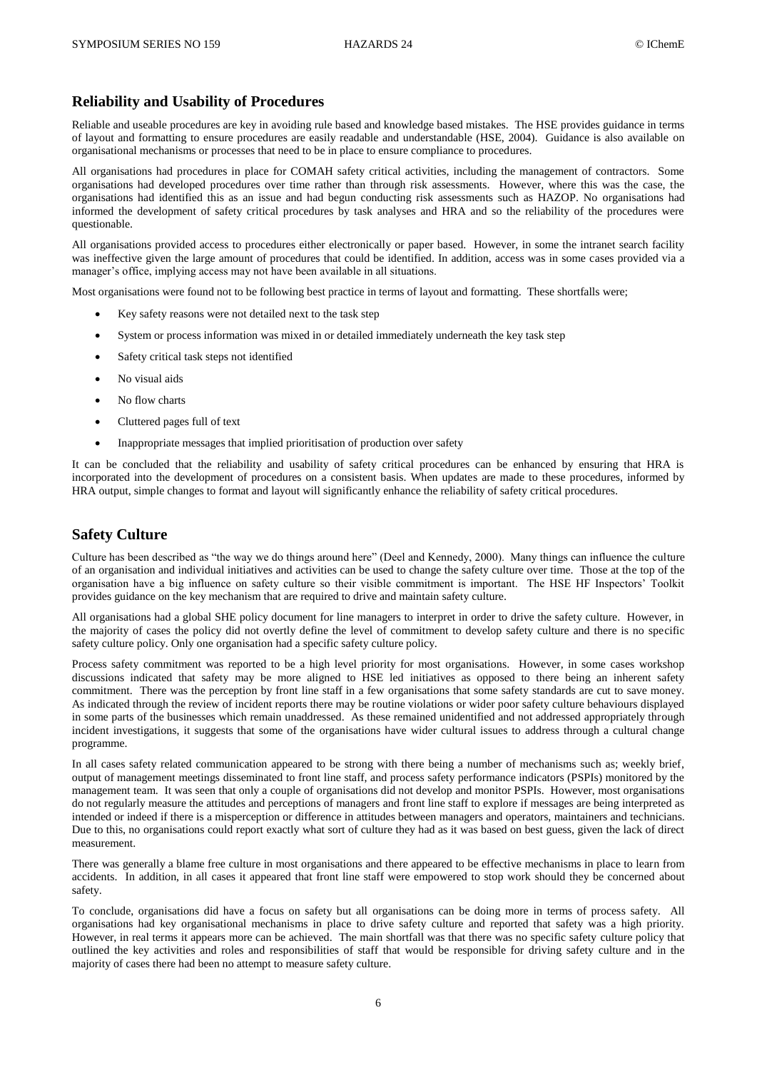### **Reliability and Usability of Procedures**

Reliable and useable procedures are key in avoiding rule based and knowledge based mistakes. The HSE provides guidance in terms of layout and formatting to ensure procedures are easily readable and understandable (HSE, 2004). Guidance is also available on organisational mechanisms or processes that need to be in place to ensure compliance to procedures.

All organisations had procedures in place for COMAH safety critical activities, including the management of contractors. Some organisations had developed procedures over time rather than through risk assessments. However, where this was the case, the organisations had identified this as an issue and had begun conducting risk assessments such as HAZOP. No organisations had informed the development of safety critical procedures by task analyses and HRA and so the reliability of the procedures were questionable.

All organisations provided access to procedures either electronically or paper based. However, in some the intranet search facility was ineffective given the large amount of procedures that could be identified. In addition, access was in some cases provided via a manager's office, implying access may not have been available in all situations.

Most organisations were found not to be following best practice in terms of layout and formatting. These shortfalls were;

- Key safety reasons were not detailed next to the task step
- System or process information was mixed in or detailed immediately underneath the key task step
- Safety critical task steps not identified
- No visual aids
- No flow charts
- Cluttered pages full of text
- Inappropriate messages that implied prioritisation of production over safety

It can be concluded that the reliability and usability of safety critical procedures can be enhanced by ensuring that HRA is incorporated into the development of procedures on a consistent basis. When updates are made to these procedures, informed by HRA output, simple changes to format and layout will significantly enhance the reliability of safety critical procedures.

### **Safety Culture**

Culture has been described as "the way we do things around here" (Deel and Kennedy, 2000). Many things can influence the culture of an organisation and individual initiatives and activities can be used to change the safety culture over time. Those at the top of the organisation have a big influence on safety culture so their visible commitment is important. The HSE HF Inspectors' Toolkit provides guidance on the key mechanism that are required to drive and maintain safety culture.

All organisations had a global SHE policy document for line managers to interpret in order to drive the safety culture. However, in the majority of cases the policy did not overtly define the level of commitment to develop safety culture and there is no specific safety culture policy. Only one organisation had a specific safety culture policy.

Process safety commitment was reported to be a high level priority for most organisations. However, in some cases workshop discussions indicated that safety may be more aligned to HSE led initiatives as opposed to there being an inherent safety commitment. There was the perception by front line staff in a few organisations that some safety standards are cut to save money. As indicated through the review of incident reports there may be routine violations or wider poor safety culture behaviours displayed in some parts of the businesses which remain unaddressed. As these remained unidentified and not addressed appropriately through incident investigations, it suggests that some of the organisations have wider cultural issues to address through a cultural change programme.

In all cases safety related communication appeared to be strong with there being a number of mechanisms such as; weekly brief, output of management meetings disseminated to front line staff, and process safety performance indicators (PSPIs) monitored by the management team. It was seen that only a couple of organisations did not develop and monitor PSPIs. However, most organisations do not regularly measure the attitudes and perceptions of managers and front line staff to explore if messages are being interpreted as intended or indeed if there is a misperception or difference in attitudes between managers and operators, maintainers and technicians. Due to this, no organisations could report exactly what sort of culture they had as it was based on best guess, given the lack of direct measurement.

There was generally a blame free culture in most organisations and there appeared to be effective mechanisms in place to learn from accidents. In addition, in all cases it appeared that front line staff were empowered to stop work should they be concerned about safety.

To conclude, organisations did have a focus on safety but all organisations can be doing more in terms of process safety. All organisations had key organisational mechanisms in place to drive safety culture and reported that safety was a high priority. However, in real terms it appears more can be achieved. The main shortfall was that there was no specific safety culture policy that outlined the key activities and roles and responsibilities of staff that would be responsible for driving safety culture and in the majority of cases there had been no attempt to measure safety culture.